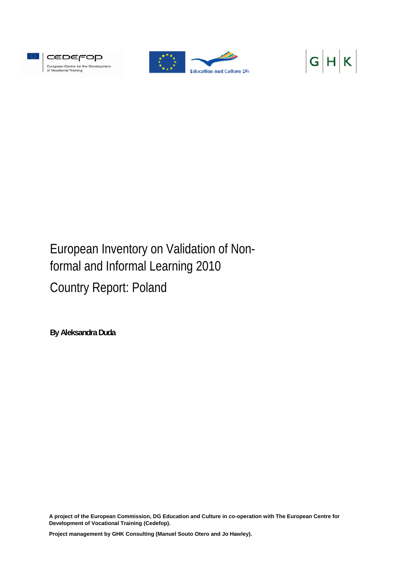

CEDEFOD European Centre for the Development<br>of Vocational Training







# European Inventory on Validation of Nonformal and Informal Learning 2010 Country Report: Poland

**By Aleksandra Duda** 

**A project of the European Commission, DG Education and Culture in co-operation with The European Centre for Development of Vocational Training (Cedefop).**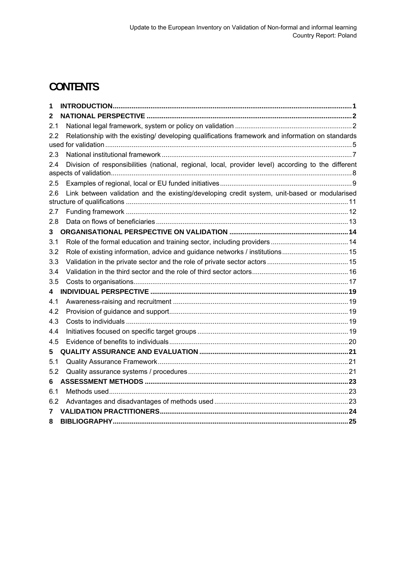# **CONTENTS**

| 1   |                                                                                                     |  |
|-----|-----------------------------------------------------------------------------------------------------|--|
| 2   |                                                                                                     |  |
| 2.1 |                                                                                                     |  |
| 2.2 | Relationship with the existing/ developing qualifications framework and information on standards    |  |
|     |                                                                                                     |  |
| 2.3 |                                                                                                     |  |
| 2.4 | Division of responsibilities (national, regional, local, provider level) according to the different |  |
|     |                                                                                                     |  |
| 2.5 |                                                                                                     |  |
| 2.6 | Link between validation and the existing/developing credit system, unit-based or modularised        |  |
|     |                                                                                                     |  |
| 2.7 |                                                                                                     |  |
| 2.8 |                                                                                                     |  |
| 3   |                                                                                                     |  |
| 3.1 |                                                                                                     |  |
| 3.2 | Role of existing information, advice and guidance networks / institutions 15                        |  |
| 3.3 |                                                                                                     |  |
| 3.4 |                                                                                                     |  |
| 3.5 |                                                                                                     |  |
| 4   |                                                                                                     |  |
| 4.1 |                                                                                                     |  |
| 4.2 |                                                                                                     |  |
| 4.3 |                                                                                                     |  |
| 4.4 |                                                                                                     |  |
| 4.5 |                                                                                                     |  |
| 5   |                                                                                                     |  |
| 5.1 |                                                                                                     |  |
| 5.2 |                                                                                                     |  |
| 6   |                                                                                                     |  |
| 6.1 |                                                                                                     |  |
| 6.2 |                                                                                                     |  |
| 7   |                                                                                                     |  |
| 8   |                                                                                                     |  |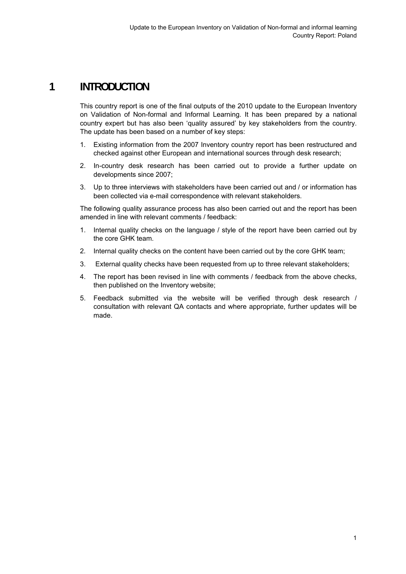### **1 INTRODUCTION**

This country report is one of the final outputs of the 2010 update to the European Inventory on Validation of Non-formal and Informal Learning. It has been prepared by a national country expert but has also been 'quality assured' by key stakeholders from the country. The update has been based on a number of key steps:

- 1. Existing information from the 2007 Inventory country report has been restructured and checked against other European and international sources through desk research;
- 2. In-country desk research has been carried out to provide a further update on developments since 2007;
- 3. Up to three interviews with stakeholders have been carried out and / or information has been collected via e-mail correspondence with relevant stakeholders.

The following quality assurance process has also been carried out and the report has been amended in line with relevant comments / feedback:

- 1. Internal quality checks on the language / style of the report have been carried out by the core GHK team.
- 2. Internal quality checks on the content have been carried out by the core GHK team;
- 3. External quality checks have been requested from up to three relevant stakeholders;
- 4. The report has been revised in line with comments / feedback from the above checks, then published on the Inventory website;
- 5. Feedback submitted via the website will be verified through desk research / consultation with relevant QA contacts and where appropriate, further updates will be made.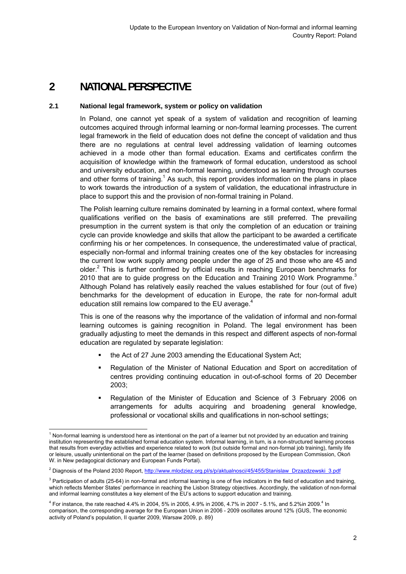# **2 NATIONAL PERSPECTIVE**

### **2.1 National legal framework, system or policy on validation**

In Poland, one cannot yet speak of a system of validation and recognition of learning outcomes acquired through informal learning or non-formal learning processes. The current legal framework in the field of education does not define the concept of validation and thus there are no regulations at central level addressing validation of learning outcomes achieved in a mode other than formal education. Exams and certificates confirm the acquisition of knowledge within the framework of formal education, understood as school and university education, and non-formal learning, understood as learning through courses and other forms of training.<sup>1</sup> As such, this report provides information on the plans in place to work towards the introduction of a system of validation, the educational infrastructure in place to support this and the provision of non-formal training in Poland.

The Polish learning culture remains dominated by learning in a formal context, where formal qualifications verified on the basis of examinations are still preferred. The prevailing presumption in the current system is that only the completion of an education or training cycle can provide knowledge and skills that allow the participant to be awarded a certificate confirming his or her competences. In consequence, the underestimated value of practical, especially non-formal and informal training creates one of the key obstacles for increasing the current low work supply among people under the age of 25 and those who are 45 and older.<sup>2</sup> This is further confirmed by official results in reaching European benchmarks for 2010 that are to guide progress on the Education and Training 2010 Work Programme.<sup>3</sup> Although Poland has relatively easily reached the values established for four (out of five) benchmarks for the development of education in Europe, the rate for non-formal adult education still remains low compared to the EU average. $4$ 

This is one of the reasons why the importance of the validation of informal and non-formal learning outcomes is gaining recognition in Poland. The legal environment has been gradually adjusting to meet the demands in this respect and different aspects of non-formal education are regulated by separate legislation:

- the Act of 27 June 2003 amending the Educational System Act;
- Regulation of the Minister of National Education and Sport on accreditation of centres providing continuing education in out-of-school forms of 20 December 2003;
- Regulation of the Minister of Education and Science of 3 February 2006 on arrangements for adults acquiring and broadening general knowledge, professional or vocational skills and qualifications in non-school settings;

 1 Non-formal learning is understood here as intentional on the part of a learner but not provided by an education and training institution representing the established formal education system. Informal learning, in turn, is a non-structured learning process that results from everyday activities and experience related to work (but outside formal and non-formal job training), family life or leisure, usually unintentional on the part of the learner (based on definitions proposed by the European Commission, Okoń W. in New pedagogical dictionary and European Funds Portal).

<sup>&</sup>lt;sup>2</sup> Diagnosis of the Poland 2030 Report, http://www.mlodziez.org.pl/s/p/aktualnosci/45/455/Stanislaw\_Drzazdzewski\_3.pdf

 $3$  Participation of adults (25-64) in non-formal and informal learning is one of five indicators in the field of education and training, which reflects Member States' performance in reaching the Lisbon Strategy objectives. Accordingly, the validation of non-formal and informal learning constitutes a key element of the EU's actions to support education and training.

 $4$  For instance, the rate reached 4.4% in 2004, 5% in 2005, 4.9% in 2006, 4.7% in 2007 - 5.1%, and 5.2%in 2009. $4$  In comparison, the corresponding average for the European Union in 2006 - 2009 oscillates around 12% (GUS, The economic activity of Poland's population, II quarter 2009, Warsaw 2009, p. 89)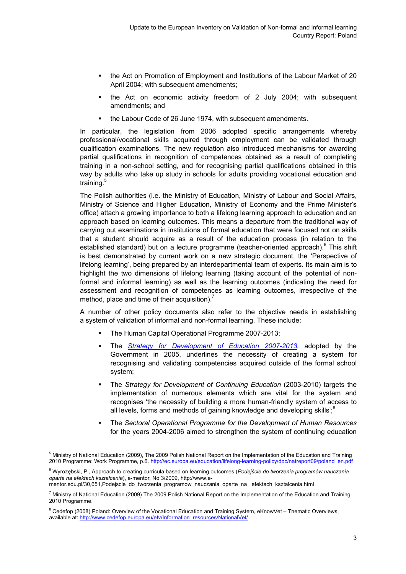- the Act on Promotion of Employment and Institutions of the Labour Market of 20 April 2004; with subsequent amendments;
- the Act on economic activity freedom of 2 July 2004; with subsequent amendments; and
- the Labour Code of 26 June 1974, with subsequent amendments.

In particular, the legislation from 2006 adopted specific arrangements whereby professional/vocational skills acquired through employment can be validated through qualification examinations. The new regulation also introduced mechanisms for awarding partial qualifications in recognition of competences obtained as a result of completing training in a non-school setting, and for recognising partial qualifications obtained in this way by adults who take up study in schools for adults providing vocational education and training.<sup>5</sup>

The Polish authorities (i.e. the Ministry of Education, Ministry of Labour and Social Affairs, Ministry of Science and Higher Education, Ministry of Economy and the Prime Minister's office) attach a growing importance to both a lifelong learning approach to education and an approach based on learning outcomes. This means a departure from the traditional way of carrying out examinations in institutions of formal education that were focused not on skills that a student should acquire as a result of the education process (in relation to the established standard) but on a lecture programme (teacher-oriented approach).<sup>6</sup> This shift is best demonstrated by current work on a new strategic document, the 'Perspective of lifelong learning', being prepared by an interdepartmental team of experts. Its main aim is to highlight the two dimensions of lifelong learning (taking account of the potential of nonformal and informal learning) as well as the learning outcomes (indicating the need for assessment and recognition of competences as learning outcomes, irrespective of the method, place and time of their acquisition). $<sup>7</sup>$ </sup>

A number of other policy documents also refer to the objective needs in establishing a system of validation of informal and non-formal learning. These include:

- The Human Capital Operational Programme 2007-2013;
- The *Strategy for Development of Education 2007-2013,* adopted by the Government in 2005, underlines the necessity of creating a system for recognising and validating competencies acquired outside of the formal school system;
- The *Strategy for Development of Continuing Education* (2003-2010) targets the implementation of numerous elements which are vital for the system and recognises 'the necessity of building a more human-friendly system of access to all levels, forms and methods of gaining knowledge and developing skills<sup> $\cdot$ ,8</sup>
- The *Sectoral Operational Programme for the Development of Human Resources* for the years 2004-2006 aimed to strengthen the system of continuing education

 5 Ministry of National Education (2009), The 2009 Polish National Report on the Implementation of the Education and Training 2010 Programme: Work Programme, p.6. http://ec.europa.eu/education/lifelong-learning-policy/doc/natreport09/poland\_en.pdf

<sup>6</sup> Wyrozębski, P., Approach to creating curricula based on learning outcomes (*Podejście do tworzenia programów nauczania oparte na efektach kształcenia*), e-mentor, No 3/2009, http://www.e-

mentor.edu.pl/30.651.Podejscie\_do\_tworzenia\_programow\_nauczania\_oparte\_na\_ efektach\_ksztalcenia.html

<sup>&</sup>lt;sup>7</sup> Ministry of National Education (2009) The 2009 Polish National Report on the Implementation of the Education and Training 2010 Programme.

<sup>&</sup>lt;sup>8</sup> Cedefop (2008) Poland: Overview of the Vocational Education and Training System, eKnowVet – Thematic Overviews, available at: http://www.cedefop.europa.eu/etv/Information\_resources/NationalVet/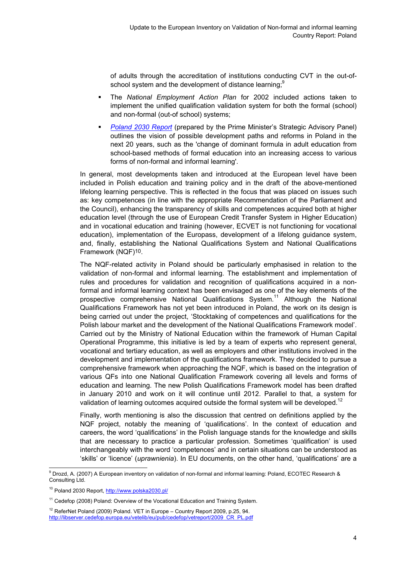of adults through the accreditation of institutions conducting CVT in the out-ofschool system and the development of distance learning;<sup>9</sup>

- The *National Employment Action Plan* for 2002 included actions taken to implement the unified qualification validation system for both the formal (school) and non-formal (out-of school) systems;
- **Poland 2030 Report (prepared by the Prime Minister's Strategic Advisory Panel)** outlines the vision of possible development paths and reforms in Poland in the next 20 years, such as the 'change of dominant formula in adult education from school-based methods of formal education into an increasing access to various forms of non-formal and informal learning'.

In general, most developments taken and introduced at the European level have been included in Polish education and training policy and in the draft of the above-mentioned lifelong learning perspective. This is reflected in the focus that was placed on issues such as: key competences (in line with the appropriate Recommendation of the Parliament and the Council), enhancing the transparency of skills and competences acquired both at higher education level (through the use of European Credit Transfer System in Higher Education) and in vocational education and training (however, ECVET is not functioning for vocational education), implementation of the Europass, development of a lifelong guidance system, and, finally, establishing the National Qualifications System and National Qualifications Framework (NQF)10.

The NQF-related activity in Poland should be particularly emphasised in relation to the validation of non-formal and informal learning. The establishment and implementation of rules and procedures for validation and recognition of qualifications acquired in a nonformal and informal learning context has been envisaged as one of the key elements of the prospective comprehensive National Qualifications System.<sup>11</sup> Although the National Qualifications Framework has not yet been introduced in Poland, the work on its design is being carried out under the project, 'Stocktaking of competences and qualifications for the Polish labour market and the development of the National Qualifications Framework model'. Carried out by the Ministry of National Education within the framework of Human Capital Operational Programme, this initiative is led by a team of experts who represent general, vocational and tertiary education, as well as employers and other institutions involved in the development and implementation of the qualifications framework. They decided to pursue a comprehensive framework when approaching the NQF, which is based on the integration of various QFs into one National Qualification Framework covering all levels and forms of education and learning. The new Polish Qualifications Framework model has been drafted in January 2010 and work on it will continue until 2012. Parallel to that, a system for validation of learning outcomes acquired outside the formal system will be developed.<sup>12</sup>

Finally, worth mentioning is also the discussion that centred on definitions applied by the NQF project, notably the meaning of 'qualifications'. In the context of education and careers, the word 'qualifications' in the Polish language stands for the knowledge and skills that are necessary to practice a particular profession. Sometimes 'qualification' is used interchangeably with the word 'competences' and in certain situations can be understood as 'skills' or 'licence' (*uprawnienia*). In EU documents, on the other hand, 'qualifications' are a

 9 Drozd, A. (2007) A European inventory on validation of non-formal and informal learning: Poland, ECOTEC Research & Consulting Ltd.

<sup>10</sup> Poland 2030 Report, http://www.polska2030.pl/

<sup>&</sup>lt;sup>11</sup> Cedefop (2008) Poland: Overview of the Vocational Education and Training System.

 $12$  ReferNet Poland (2009) Poland. VET in Europe – Country Report 2009, p.25, 94. http://libserver.cedefop.europa.eu/vetelib/eu/pub/cedefop/vetreport/2009\_CR\_PL.pdf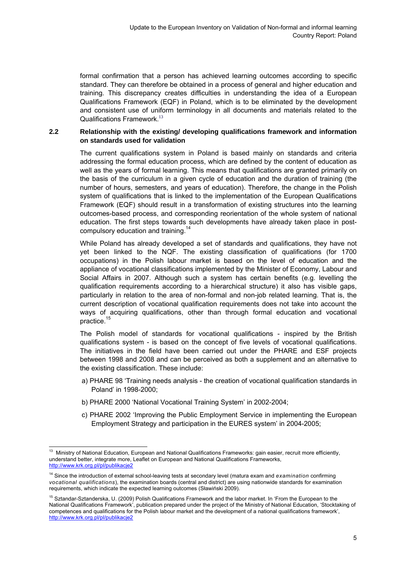formal confirmation that a person has achieved learning outcomes according to specific standard. They can therefore be obtained in a process of general and higher education and training. This discrepancy creates difficulties in understanding the idea of a European Qualifications Framework (EQF) in Poland, which is to be eliminated by the development and consistent use of uniform terminology in all documents and materials related to the Qualifications Framework.<sup>13</sup>

#### **2.2 Relationship with the existing/ developing qualifications framework and information on standards used for validation**

The current qualifications system in Poland is based mainly on standards and criteria addressing the formal education process, which are defined by the content of education as well as the years of formal learning. This means that qualifications are granted primarily on the basis of the curriculum in a given cycle of education and the duration of training (the number of hours, semesters, and years of education). Therefore, the change in the Polish system of qualifications that is linked to the implementation of the European Qualifications Framework (EQF) should result in a transformation of existing structures into the learning outcomes-based process, and corresponding reorientation of the whole system of national education. The first steps towards such developments have already taken place in postcompulsory education and training.<sup>14</sup>

While Poland has already developed a set of standards and qualifications, they have not yet been linked to the NQF. The existing classification of qualifications (for 1700 occupations) in the Polish labour market is based on the level of education and the appliance of vocational classifications implemented by the Minister of Economy, Labour and Social Affairs in 2007. Although such a system has certain benefits (e.g. levelling the qualification requirements according to a hierarchical structure) it also has visible gaps, particularly in relation to the area of non-formal and non-job related learning. That is, the current description of vocational qualification requirements does not take into account the ways of acquiring qualifications, other than through formal education and vocational practice.<sup>15</sup>

The Polish model of standards for vocational qualifications - inspired by the British qualifications system - is based on the concept of five levels of vocational qualifications. The initiatives in the field have been carried out under the PHARE and ESF projects between 1998 and 2008 and can be perceived as both a supplement and an alternative to the existing classification. These include:

- a) PHARE 98 'Training needs analysis the creation of vocational qualification standards in Poland' in 1998-2000;
- b) PHARE 2000 'National Vocational Training System' in 2002-2004;
- c) PHARE 2002 'Improving the Public Employment Service in implementing the European Employment Strategy and participation in the EURES system' in 2004-2005;

<sup>1</sup> <sup>13</sup> Ministry of National Education, European and National Qualifications Frameworks: gain easier, recruit more efficiently, understand better, integrate more, Leaflet on European and National Qualifications Frameworks, http://www.krk.org.pl/pl/publikacje2

<sup>14</sup> Since the introduction of external school-leaving tests at secondary level (matura exam and *examination* confirming *vocational qualifications*), the examination boards (central and district) are using nationwide standards for examination requirements, which indicate the expected learning outcomes (Sławiński 2009).

<sup>&</sup>lt;sup>15</sup> Sztandar-Sztanderska, U. (2009) Polish Qualifications Framework and the labor market. In 'From the European to the National Qualifications Framework', publication prepared under the project of the Ministry of National Education, 'Stocktaking of competences and qualifications for the Polish labour market and the development of a national qualifications framework', http://www.krk.org.pl/pl/publikacje2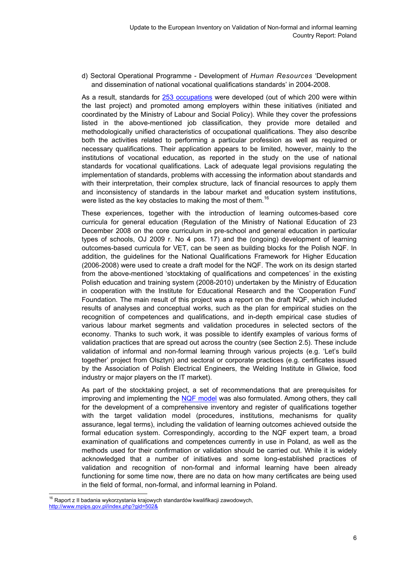d) Sectoral Operational Programme - Development of *Human Resources* 'Development and dissemination of national vocational qualifications standards' in 2004-2008.

As a result, standards for 253 occupations were developed (out of which 200 were within the last project) and promoted among employers within these initiatives (initiated and coordinated by the Ministry of Labour and Social Policy). While they cover the professions listed in the above-mentioned job classification, they provide more detailed and methodologically unified characteristics of occupational qualifications. They also describe both the activities related to performing a particular profession as well as required or necessary qualifications. Their application appears to be limited, however, mainly to the institutions of vocational education, as reported in the study on the use of national standards for vocational qualifications. Lack of adequate legal provisions regulating the implementation of standards, problems with accessing the information about standards and with their interpretation, their complex structure, lack of financial resources to apply them and inconsistency of standards in the labour market and education system institutions, were listed as the key obstacles to making the most of them.<sup>16</sup>

These experiences, together with the introduction of learning outcomes-based core curricula for general education (Regulation of the Ministry of National Education of 23 December 2008 on the core curriculum in pre-school and general education in particular types of schools, OJ 2009 r. No 4 pos. 17) and the (ongoing) development of learning outcomes-based curricula for VET, can be seen as building blocks for the Polish NQF. In addition, the guidelines for the National Qualifications Framework for Higher Education (2006-2008) were used to create a draft model for the NQF. The work on its design started from the above-mentioned 'stocktaking of qualifications and competences' in the existing Polish education and training system (2008-2010) undertaken by the Ministry of Education in cooperation with the Institute for Educational Research and the 'Cooperation Fund' Foundation. The main result of this project was a report on the draft NQF, which included results of analyses and conceptual works, such as the plan for empirical studies on the recognition of competences and qualifications, and in-depth empirical case studies of various labour market segments and validation procedures in selected sectors of the economy. Thanks to such work, it was possible to identify examples of various forms of validation practices that are spread out across the country (see Section 2.5). These include validation of informal and non-formal learning through various projects (e.g. 'Let's build together' project from Olsztyn) and sectoral or corporate practices (e.g. certificates issued by the Association of Polish Electrical Engineers, the Welding Institute in Gliwice, food industry or major players on the IT market).

As part of the stocktaking project, a set of recommendations that are prerequisites for improving and implementing the NQF model was also formulated. Among others, they call for the development of a comprehensive inventory and register of qualifications together with the target validation model (procedures, institutions, mechanisms for quality assurance, legal terms), including the validation of learning outcomes achieved outside the formal education system. Correspondingly, according to the NQF expert team, a broad examination of qualifications and competences currently in use in Poland, as well as the methods used for their confirmation or validation should be carried out. While it is widely acknowledged that a number of initiatives and some long-established practices of validation and recognition of non-formal and informal learning have been already functioning for some time now, there are no data on how many certificates are being used in the field of formal, non-formal, and informal learning in Poland.

<sup>1</sup> <sup>16</sup> Raport z II badania wykorzystania krajowych standardów kwalifikacji zawodowych, http://www.mpips.gov.pl/index.php?gid=502&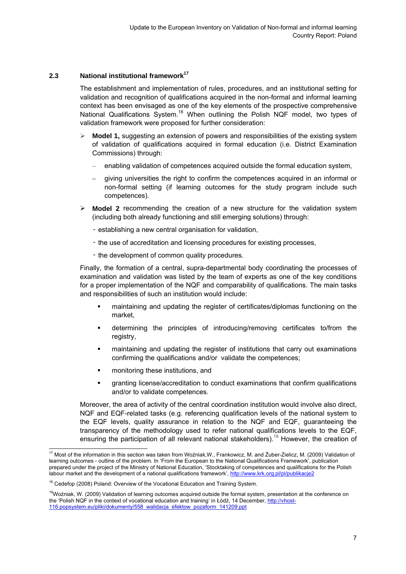### **2.3 National institutional framework17**

The establishment and implementation of rules, procedures, and an institutional setting for validation and recognition of qualifications acquired in the non-formal and informal learning context has been envisaged as one of the key elements of the prospective comprehensive National Qualifications System.<sup>18</sup> When outlining the Polish NQF model, two types of validation framework were proposed for further consideration:

- **Model 1,** suggesting an extension of powers and responsibilities of the existing system of validation of qualifications acquired in formal education (i.e. District Examination Commissions) through:
	- enabling validation of competences acquired outside the formal education system,
	- giving universities the right to confirm the competences acquired in an informal or non-formal setting (if learning outcomes for the study program include such competences).
- **Model 2** recommending the creation of a new structure for the validation system (including both already functioning and still emerging solutions) through:
	- establishing a new central organisation for validation,
	- the use of accreditation and licensing procedures for existing processes,
	- the development of common quality procedures.

Finally, the formation of a central, supra-departmental body coordinating the processes of examination and validation was listed by the team of experts as one of the key conditions for a proper implementation of the NQF and comparability of qualifications. The main tasks and responsibilities of such an institution would include:

- maintaining and updating the register of certificates/diplomas functioning on the market,
- determining the principles of introducing/removing certificates to/from the registry,
- maintaining and updating the register of institutions that carry out examinations confirming the qualifications and/or validate the competences;
- **EXECUTE:** monitoring these institutions, and
- granting license/accreditation to conduct examinations that confirm qualifications and/or to validate competences.

Moreover, the area of activity of the central coordination institution would involve also direct, NQF and EQF-related tasks (e.g. referencing qualification levels of the national system to the EQF levels, quality assurance in relation to the NQF and EQF, guaranteeing the transparency of the methodology used to refer national qualifications levels to the EQF, ensuring the participation of all relevant national stakeholders).<sup>19</sup> However, the creation of

<sup>1</sup> 17 Most of the information in this section was taken from Woźniak,W., Frankowicz, M. and Żuber-Zielicz, M. (2009) Validation of learning outcomes - outline of the problem. In 'From the European to the National Qualifications Framework', publication prepared under the project of the Ministry of National Education, 'Stocktaking of competences and qualifications for the Polish labour market and the development of a national qualifications framework', http://www.krk.org.pl/pl/publikacje2

<sup>&</sup>lt;sup>18</sup> Cedefop (2008) Poland: Overview of the Vocational Education and Training System.

<sup>&</sup>lt;sup>19</sup>Woźniak. W. (2009) Validation of learning outcomes acquired outside the formal system, presentation at the conference on the 'Polish NQF in the context of vocational education and training' in Łódź, 14 December, http://vhost-116.popsystem.eu/pliki/dokumenty/558\_walidacja\_efektow\_pozaform\_141209.ppt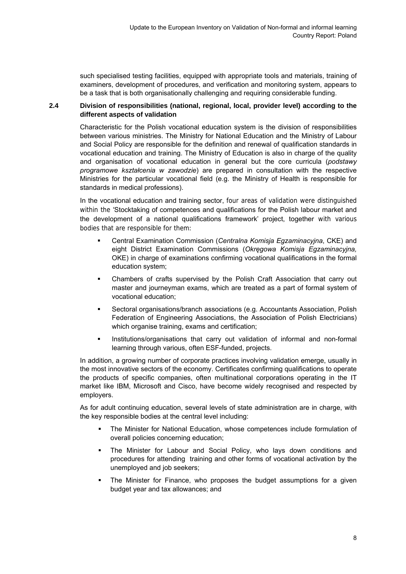such specialised testing facilities, equipped with appropriate tools and materials, training of examiners, development of procedures, and verification and monitoring system, appears to be a task that is both organisationally challenging and requiring considerable funding.

#### **2.4 Division of responsibilities (national, regional, local, provider level) according to the different aspects of validation**

Characteristic for the Polish vocational education system is the division of responsibilities between various ministries. The Ministry for National Education and the Ministry of Labour and Social Policy are responsible for the definition and renewal of qualification standards in vocational education and training. The Ministry of Education is also in charge of the quality and organisation of vocational education in general but the core curricula (*podstawy programowe kształcenia w zawodzie*) are prepared in consultation with the respective Ministries for the particular vocational field (e.g. the Ministry of Health is responsible for standards in medical professions).

In the vocational education and training sector, four areas of validation were distinguished within the 'Stocktaking of competences and qualifications for the Polish labour market and the development of a national qualifications framework' project, together with various bodies that are responsible for them:

- Central Examination Commission (*Centralna Komisja Egzaminacyjna*, CKE) and eight District Examination Commissions (*Okręgowa Komisja Egzaminacyjna,* OKE) in charge of examinations confirming vocational qualifications in the formal education system;
- Chambers of crafts supervised by the Polish Craft Association that carry out master and journeyman exams, which are treated as a part of formal system of vocational education;
- Sectoral organisations/branch associations (e.g. Accountants Association, Polish Federation of Engineering Associations, the Association of Polish Electricians) which organise training, exams and certification;
- Institutions/organisations that carry out validation of informal and non-formal learning through various, often ESF-funded, projects.

In addition, a growing number of corporate practices involving validation emerge, usually in the most innovative sectors of the economy. Certificates confirming qualifications to operate the products of specific companies, often multinational corporations operating in the IT market like IBM, Microsoft and Cisco, have become widely recognised and respected by employers.

As for adult continuing education, several levels of state administration are in charge, with the key responsible bodies at the central level including:

- The Minister for National Education, whose competences include formulation of overall policies concerning education;
- The Minister for Labour and Social Policy, who lays down conditions and procedures for attending training and other forms of vocational activation by the unemployed and job seekers;
- The Minister for Finance, who proposes the budget assumptions for a given budget year and tax allowances; and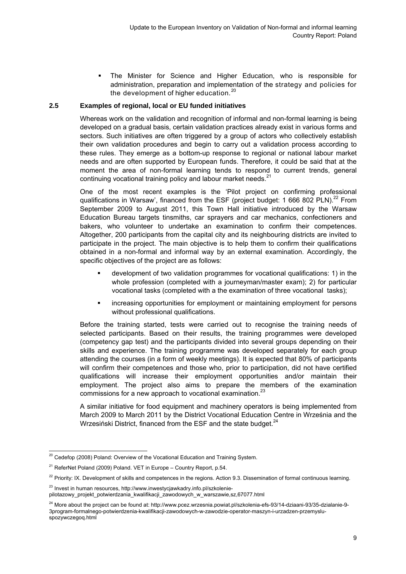The Minister for Science and Higher Education, who is responsible for administration, preparation and implementation of the strategy and policies for the development of higher education*.* 20

#### **2.5 Examples of regional, local or EU funded initiatives**

Whereas work on the validation and recognition of informal and non-formal learning is being developed on a gradual basis, certain validation practices already exist in various forms and sectors. Such initiatives are often triggered by a group of actors who collectively establish their own validation procedures and begin to carry out a validation process according to these rules. They emerge as a bottom-up response to regional or national labour market needs and are often supported by European funds. Therefore, it could be said that at the moment the area of non-formal learning tends to respond to current trends, general continuing vocational training policy and labour market needs.<sup>21</sup>

One of the most recent examples is the 'Pilot project on confirming professional qualifications in Warsaw', financed from the ESF (project budget: 1 666 802 PLN).<sup>22</sup> From September 2009 to August 2011, this Town Hall initiative introduced by the Warsaw Education Bureau targets tinsmiths, car sprayers and car mechanics, confectioners and bakers, who volunteer to undertake an examination to confirm their competences. Altogether, 200 participants from the capital city and its neighbouring districts are invited to participate in the project. The main objective is to help them to confirm their qualifications obtained in a non-formal and informal way by an external examination. Accordingly, the specific objectives of the project are as follows:

- development of two validation programmes for vocational qualifications: 1) in the whole profession (completed with a journeyman/master exam); 2) for particular vocational tasks (completed with a the examination of three vocational tasks);
- **EXEDENT** increasing opportunities for employment or maintaining employment for persons without professional qualifications.

Before the training started, tests were carried out to recognise the training needs of selected participants. Based on their results, the training programmes were developed (competency gap test) and the participants divided into several groups depending on their skills and experience. The training programme was developed separately for each group attending the courses (in a form of weekly meetings). It is expected that 80% of participants will confirm their competences and those who, prior to participation, did not have certified qualifications will increase their employment opportunities and/or maintain their employment. The project also aims to prepare the members of the examination commissions for a new approach to vocational examination.<sup>23</sup>

A similar initiative for food equipment and machinery operators is being implemented from March 2009 to March 2011 by the District Vocational Education Centre in Września and the Wrzesiński District, financed from the ESF and the state budget.<sup>24</sup>

1

<sup>&</sup>lt;sup>20</sup> Cedefop (2008) Poland: Overview of the Vocational Education and Training System.

 $21$  ReferNet Poland (2009) Poland. VET in Europe – Country Report, p.54.

<sup>&</sup>lt;sup>22</sup> Priority: IX. Development of skills and competences in the regions. Action 9.3. Dissemination of formal continuous learning.

<sup>&</sup>lt;sup>23</sup> Invest in human resources, http://www.inwestyciawkadry.info.pl/szkoleniepilotazowy\_projekt\_potwierdzania\_kwalifikacji\_zawodowych\_w\_warszawie,sz,67077.html

<sup>&</sup>lt;sup>24</sup> More about the project can be found at: http://www.pcez.wrzesnia.powiat.pl/szkolenia-efs-93/14-dziaani-93/35-dzialanie-9-3program-formalnego-potwierdzenia-kwalifikacji-zawodowych-w-zawodzie-operator-maszyn-i-urzadzen-przemysluspozywczegoq.html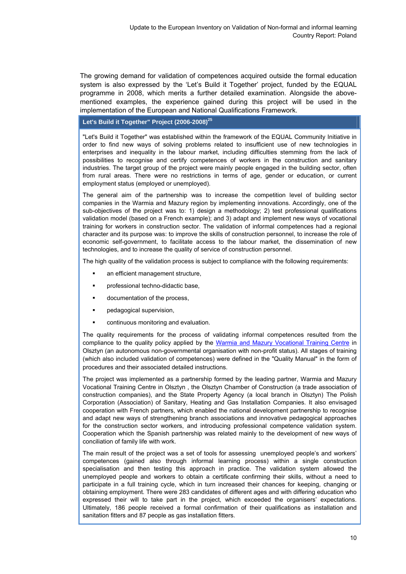The growing demand for validation of competences acquired outside the formal education system is also expressed by the 'Let's Build it Together' project, funded by the EQUAL programme in 2008, which merits a further detailed examination. Alongside the abovementioned examples, the experience gained during this project will be used in the implementation of the European and National Qualifications Framework.

#### Let's Build it Together" Project (2006-2008)<sup>25</sup>

"Let's Build it Together" was established within the framework of the EQUAL Community Initiative in order to find new ways of solving problems related to insufficient use of new technologies in enterprises and inequality in the labour market, including difficulties stemming from the lack of possibilities to recognise and certify competences of workers in the construction and sanitary industries. The target group of the project were mainly people engaged in the building sector, often from rural areas. There were no restrictions in terms of age, gender or education, or current employment status (employed or unemployed).

The general aim of the partnership was to increase the competition level of building sector companies in the Warmia and Mazury region by implementing innovations. Accordingly, one of the sub-objectives of the project was to: 1) design a methodology; 2) test professional qualifications validation model (based on a French example); and 3) adapt and implement new ways of vocational training for workers in construction sector. The validation of informal competences had a regional character and its purpose was: to improve the skills of construction personnel, to increase the role of economic self-government, to facilitate access to the labour market, the dissemination of new technologies, and to increase the quality of service of construction personnel.

The high quality of the validation process is subject to compliance with the following requirements:

- an efficient management structure,
- professional techno-didactic base,
- documentation of the process,
- pedagogical supervision,
- continuous monitoring and evaluation.

The quality requirements for the process of validating informal competences resulted from the compliance to the quality policy applied by the Warmia and Mazury Vocational Training Centre in Olsztyn (an autonomous non-governmental organisation with non-profit status). All stages of training (which also included validation of competences) were defined in the "Quality Manual" in the form of procedures and their associated detailed instructions.

The project was implemented as a partnership formed by the leading partner, Warmia and Mazury Vocational Training Centre in Olsztyn , the Olsztyn Chamber of Construction (a trade association of construction companies), and the State Property Agency (a local branch in Olsztyn) The Polish Corporation (Association) of Sanitary, Heating and Gas Installation Companies. It also envisaged cooperation with French partners, which enabled the national development partnership to recognise and adapt new ways of strengthening branch associations and innovative pedagogical approaches for the construction sector workers, and introducing professional competence validation system. Cooperation which the Spanish partnership was related mainly to the development of new ways of conciliation of family life with work.

The main result of the project was a set of tools for assessing unemployed people's and workers' competences (gained also through informal learning process) within a single construction specialisation and then testing this approach in practice. The validation system allowed the unemployed people and workers to obtain a certificate confirming their skills, without a need to participate in a full training cycle, which in turn increased their chances for keeping, changing or obtaining employment. There were 283 candidates of different ages and with differing education who expressed their will to take part in the project, which exceeded the organisers' expectations. Ultimately, 186 people received a formal confirmation of their qualifications as installation and sanitation fitters and 87 people as gas installation fitters.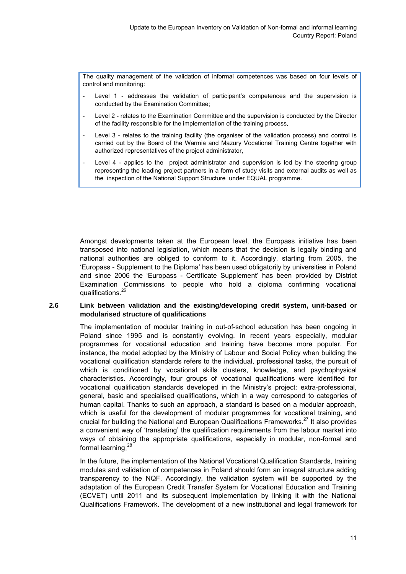The quality management of the validation of informal competences was based on four levels of control and monitoring:

- Level 1 addresses the validation of participant's competences and the supervision is conducted by the Examination Committee;
- Level 2 relates to the Examination Committee and the supervision is conducted by the Director of the facility responsible for the implementation of the training process,
- Level 3 relates to the training facility (the organiser of the validation process) and control is carried out by the Board of the Warmia and Mazury Vocational Training Centre together with authorized representatives of the project administrator,
- Level 4 applies to the project administrator and supervision is led by the steering group representing the leading project partners in a form of study visits and external audits as well as the inspection of the National Support Structure under EQUAL programme.

Amongst developments taken at the European level, the Europass initiative has been transposed into national legislation, which means that the decision is legally binding and national authorities are obliged to conform to it. Accordingly, starting from 2005, the 'Europass - Supplement to the Diploma' has been used obligatorily by universities in Poland and since 2006 the 'Europass - Certificate Supplement' has been provided by District Examination Commissions to people who hold a diploma confirming vocational qualifications.26

#### **2.6 Link between validation and the existing/developing credit system, unit-based or modularised structure of qualifications**

The implementation of modular training in out-of-school education has been ongoing in Poland since 1995 and is constantly evolving. In recent years especially, modular programmes for vocational education and training have become more popular. For instance, the model adopted by the Ministry of Labour and Social Policy when building the vocational qualification standards refers to the individual, professional tasks, the pursuit of which is conditioned by vocational skills clusters, knowledge, and psychophysical characteristics. Accordingly, four groups of vocational qualifications were identified for vocational qualification standards developed in the Ministry's project: extra-professional, general, basic and specialised qualifications, which in a way correspond to categories of human capital. Thanks to such an approach, a standard is based on a modular approach, which is useful for the development of modular programmes for vocational training, and crucial for building the National and European Qualifications Frameworks.<sup>27</sup> It also provides a convenient way of 'translating' the qualification requirements from the labour market into ways of obtaining the appropriate qualifications, especially in modular, non-formal and formal learning.<sup>28</sup>

In the future, the implementation of the National Vocational Qualification Standards, training modules and validation of competences in Poland should form an integral structure adding transparency to the NQF. Accordingly, the validation system will be supported by the adaptation of the European Credit Transfer System for Vocational Education and Training (ECVET) until 2011 and its subsequent implementation by linking it with the National Qualifications Framework. The development of a new institutional and legal framework for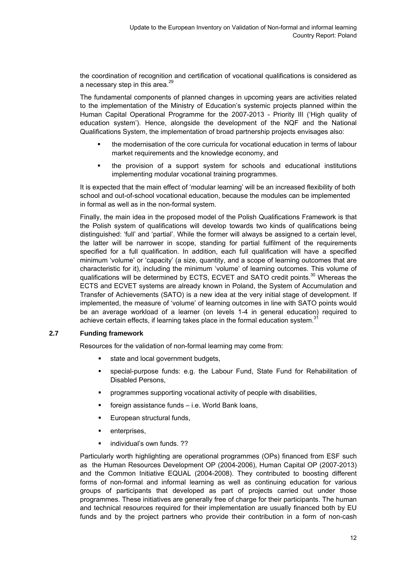the coordination of recognition and certification of vocational qualifications is considered as a necessary step in this area. $^{29}$ 

The fundamental components of planned changes in upcoming years are activities related to the implementation of the Ministry of Education's systemic projects planned within the Human Capital Operational Programme for the 2007-2013 - Priority III ('High quality of education system'). Hence, alongside the development of the NQF and the National Qualifications System, the implementation of broad partnership projects envisages also:

- the modernisation of the core curricula for vocational education in terms of labour market requirements and the knowledge economy, and
- the provision of a support system for schools and educational institutions implementing modular vocational training programmes.

It is expected that the main effect of 'modular learning' will be an increased flexibility of both school and out-of-school vocational education, because the modules can be implemented in formal as well as in the non-formal system.

Finally, the main idea in the proposed model of the Polish Qualifications Framework is that the Polish system of qualifications will develop towards two kinds of qualifications being distinguished: 'full' and 'partial'. While the former will always be assigned to a certain level, the latter will be narrower in scope, standing for partial fulfilment of the requirements specified for a full qualification. In addition, each full qualification will have a specified minimum 'volume' or 'capacity' (a size, quantity, and a scope of learning outcomes that are characteristic for it), including the minimum 'volume' of learning outcomes. This volume of qualifications will be determined by ECTS, ECVET and SATO credit points.<sup>30</sup> Whereas the ECTS and ECVET systems are already known in Poland, the System of Accumulation and Transfer of Achievements (SATO) is a new idea at the very initial stage of development. If implemented, the measure of 'volume' of learning outcomes in line with SATO points would be an average workload of a learner (on levels 1-4 in general education) required to achieve certain effects, if learning takes place in the formal education system. $31$ 

#### **2.7 Funding framework**

Resources for the validation of non-formal learning may come from:

- state and local government budgets.
- special-purpose funds: e.g. the Labour Fund, State Fund for Rehabilitation of Disabled Persons,
- programmes supporting vocational activity of people with disabilities,
- foreign assistance funds i.e. World Bank loans,
- **European structural funds,**
- **·** enterprises,
- **individual's own funds. ??**

Particularly worth highlighting are operational programmes (OPs) financed from ESF such as the Human Resources Development OP (2004-2006), Human Capital OP (2007-2013) and the Common Initiative EQUAL (2004-2008). They contributed to boosting different forms of non-formal and informal learning as well as continuing education for various groups of participants that developed as part of projects carried out under those programmes. These initiatives are generally free of charge for their participants. The human and technical resources required for their implementation are usually financed both by EU funds and by the project partners who provide their contribution in a form of non-cash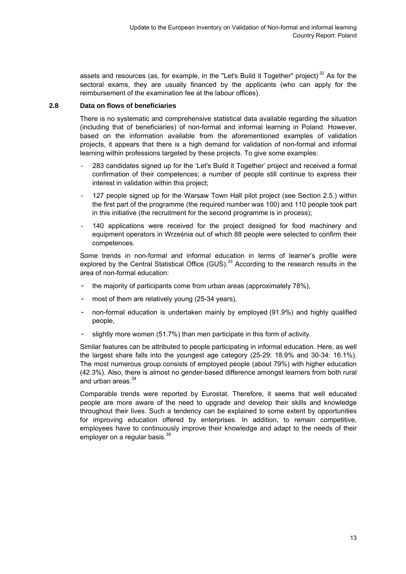assets and resources (as, for example, in the "Let's Build it Together" project) $32$  As for the sectoral exams, they are usually financed by the applicants (who can apply for the reimbursement of the examination fee at the labour offices).

#### **2.8 Data on flows of beneficiaries**

There is no systematic and comprehensive statistical data available regarding the situation (including that of beneficiaries) of non-formal and informal learning in Poland. However, based on the information available from the aforementioned examples of validation projects, it appears that there is a high demand for validation of non-formal and informal learning within professions targeted by these projects. To give some examples:

- 283 candidates signed up for the 'Let's Build it Together' project and received a formal confirmation of their competences; a number of people still continue to express their interest in validation within this project;
- 127 people signed up for the Warsaw Town Hall pilot project (see Section 2.5.) within the first part of the programme (the required number was 100) and 110 people took part in this initiative (the recruitment for the second programme is in process);
- 140 applications were received for the project designed for food machinery and equipment operators in Września out of which 88 people were selected to confirm their competences.

Some trends in non-formal and informal education in terms of learner's profile were explored by the Central Statistical Office (GUS).<sup>33</sup> According to the research results in the area of non-formal education:

- the majority of participants come from urban areas (approximately 78%),
- most of them are relatively young (25-34 years),
- non-formal education is undertaken mainly by employed (91.9%) and highly qualified people,
- slightly more women (51.7%) than men participate in this form of activity.

Similar features can be attributed to people participating in informal education. Here, as well the largest share falls into the youngest age category (25-29: 18.9% and 30-34: 16.1%). The most numerous group consists of employed people (about 79%) with higher education (42.3%). Also, there is almost no gender-based difference amongst learners from both rural and urban areas.<sup>34</sup>

Comparable trends were reported by Eurostat. Therefore, it seems that well educated people are more aware of the need to upgrade and develop their skills and knowledge throughout their lives. Such a tendency can be explained to some extent by opportunities for improving education offered by enterprises. In addition, to remain competitive, employees have to continuously improve their knowledge and adapt to the needs of their employer on a regular basis.<sup>35</sup>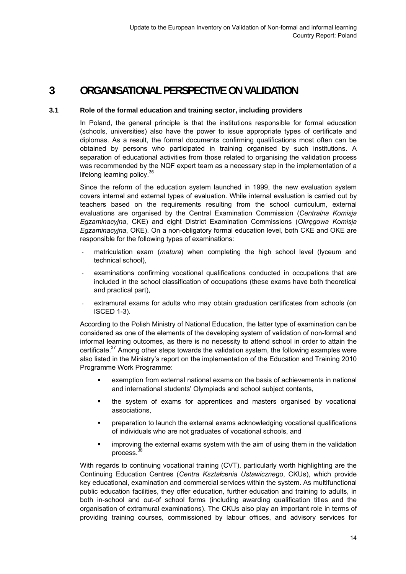## **3 ORGANISATIONAL PERSPECTIVE ON VALIDATION**

### **3.1 Role of the formal education and training sector, including providers**

In Poland, the general principle is that the institutions responsible for formal education (schools, universities) also have the power to issue appropriate types of certificate and diplomas. As a result, the formal documents confirming qualifications most often can be obtained by persons who participated in training organised by such institutions. A separation of educational activities from those related to organising the validation process was recommended by the NQF expert team as a necessary step in the implementation of a lifelong learning policy. $36$ 

Since the reform of the education system launched in 1999, the new evaluation system covers internal and external types of evaluation. While internal evaluation is carried out by teachers based on the requirements resulting from the school curriculum, external evaluations are organised by the Central Examination Commission (*Centralna Komisja Egzaminacyjna*, CKE) and eight District Examination Commissions (*Okręgowa Komisja Egzaminacyjna*, OKE). On a non-obligatory formal education level, both CKE and OKE are responsible for the following types of examinations:

- ‐ matriculation exam (*matura*) when completing the high school level (lyceum and technical school),
- ‐ examinations confirming vocational qualifications conducted in occupations that are included in the school classification of occupations (these exams have both theoretical and practical part),
- extramural exams for adults who may obtain graduation certificates from schools (on ISCED 1-3).

According to the Polish Ministry of National Education, the latter type of examination can be considered as one of the elements of the developing system of validation of non-formal and informal learning outcomes, as there is no necessity to attend school in order to attain the certificate.<sup>37</sup> Among other steps towards the validation system, the following examples were also listed in the Ministry's report on the implementation of the Education and Training 2010 Programme Work Programme:

- exemption from external national exams on the basis of achievements in national and international students' Olympiads and school subject contents,
- the system of exams for apprentices and masters organised by vocational associations,
- preparation to launch the external exams acknowledging vocational qualifications of individuals who are not graduates of vocational schools, and
- improving the external exams system with the aim of using them in the validation process.<sup>3</sup>

With regards to continuing vocational training (CVT), particularly worth highlighting are the Continuing Education Centres (*Centra Kształcenia Ustawicznego*, CKUs), which provide key educational, examination and commercial services within the system. As multifunctional public education facilities, they offer education, further education and training to adults, in both in-school and out-of school forms (including awarding qualification titles and the organisation of extramural examinations). The CKUs also play an important role in terms of providing training courses, commissioned by labour offices, and advisory services for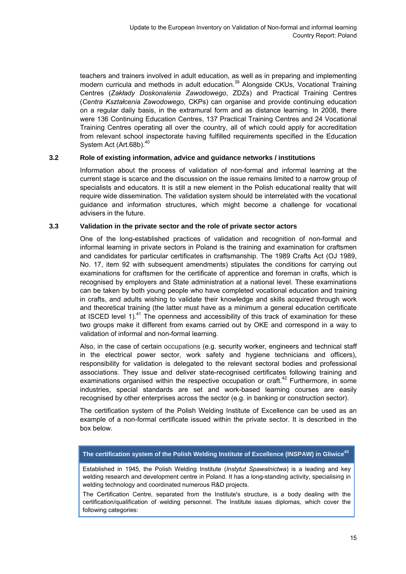teachers and trainers involved in adult education, as well as in preparing and implementing modern curricula and methods in adult education.<sup>39</sup> Alongside CKUs, Vocational Training Centres (*Zakłady Doskonalenia Zawodowego*, ZDZs) and Practical Training Centres (*Centra Kształcenia Zawodowego*, CKPs) can organise and provide continuing education on a regular daily basis, in the extramural form and as distance learning. In 2008, there were 136 Continuing Education Centres, 137 Practical Training Centres and 24 Vocational Training Centres operating all over the country, all of which could apply for accreditation from relevant school inspectorate having fulfilled requirements specified in the Education System Act (Art.68b).<sup>40</sup>

#### **3.2 Role of existing information, advice and guidance networks / institutions**

Information about the process of validation of non-formal and informal learning at the current stage is scarce and the discussion on the issue remains limited to a narrow group of specialists and educators. It is still a new element in the Polish educational reality that will require wide dissemination. The validation system should be interrelated with the vocational guidance and information structures, which might become a challenge for vocational advisers in the future.

#### **3.3 Validation in the private sector and the role of private sector actors**

One of the long-established practices of validation and recognition of non-formal and informal learning in private sectors in Poland is the training and examination for craftsmen and candidates for particular certificates in craftsmanship. The 1989 Crafts Act (OJ 1989, No. 17, item 92 with subsequent amendments) stipulates the conditions for carrying out examinations for craftsmen for the certificate of apprentice and foreman in crafts, which is recognised by employers and State administration at a national level. These examinations can be taken by both young people who have completed vocational education and training in crafts, and adults wishing to validate their knowledge and skills acquired through work and theoretical training (the latter must have as a minimum a general education certificate at ISCED level 1).<sup>41</sup> The openness and accessibility of this track of examination for these two groups make it different from exams carried out by OKE and correspond in a way to validation of informal and non-formal learning.

Also, in the case of certain occupations (e.g. security worker, engineers and technical staff in the electrical power sector, work safety and hygiene technicians and officers), responsibility for validation is delegated to the relevant sectoral bodies and professional associations. They issue and deliver state-recognised certificates following training and examinations organised within the respective occupation or craft.<sup>42</sup> Furthermore, in some industries, special standards are set and work-based learning courses are easily recognised by other enterprises across the sector (e.g. in banking or construction sector).

The certification system of the Polish Welding Institute of Excellence can be used as an example of a non-formal certificate issued within the private sector. It is described in the box below.

### The certification system of the Polish Welding Institute of Excellence (INSPAW) in Gliwice<sup>43</sup>

Established in 1945, the Polish Welding Institute (*Instytut Spawalnictwa*) is a leading and key welding research and development centre in Poland. It has a long-standing activity, specialising in welding technology and coordinated numerous R&D projects.

The Certification Centre, separated from the Institute's structure, is a body dealing with the certification/qualification of welding personnel. The Institute issues diplomas, which cover the following categories: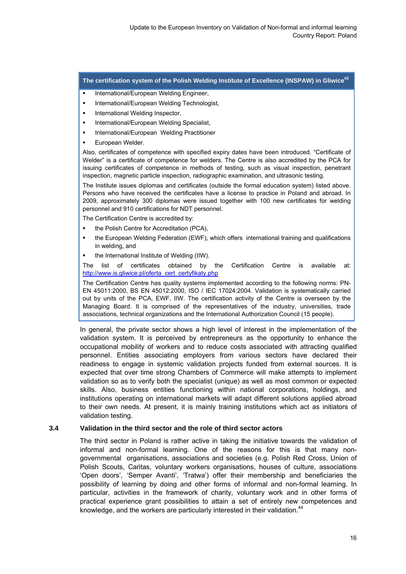#### The certification system of the Polish Welding Institute of Excellence (INSPAW) in Gliwice<sup>43</sup>

- International/European Welding Engineer,
- International/European Welding Technologist,
- **International Welding Inspector,**
- International/European Welding Specialist,
- International/European Welding Practitioner
- European Welder.

Also, certificates of competence with specified expiry dates have been introduced. "Certificate of Welder" is a certificate of competence for welders. The Centre is also accredited by the PCA for issuing certificates of competence in methods of testing, such as visual inspection, penetrant inspection, magnetic particle inspection, radiographic examination, and ultrasonic testing.

The Institute issues diplomas and certificates (outside the formal education system) listed above. Persons who have received the certificates have a license to practice in Poland and abroad. In 2009, approximately 300 diplomas were issued together with 100 new certificates for welding personnel and 910 certifications for NDT personnel.

The Certification Centre is accredited by:

- the Polish Centre for Accreditation (PCA),
- the European Welding Federation (EWF), which offers international training and qualifications in welding, and
- the International Institute of Welding (IIW).

The list of certificates obtained by the Certification Centre is available at: http://www.is.gliwice.pl/oferta\_cert\_certyfikaty.php

The Certification Centre has quality systems implemented according to the following norms: PN-EN 45011:2000, BS EN 45012:2000, ISO / IEC 17024:2004. Validation is systematically carried out by units of the PCA, EWF, IIW. The certification activity of the Centre is overseen by the Managing Board. It is comprised of the representatives of the industry, universities, trade associations, technical organizations and the International Authorization Council (15 people).

In general, the private sector shows a high level of interest in the implementation of the validation system. It is perceived by entrepreneurs as the opportunity to enhance the occupational mobility of workers and to reduce costs associated with attracting qualified personnel. Entities associating employers from various sectors have declared their readiness to engage in systemic validation projects funded from external sources. It is expected that over time strong Chambers of Commerce will make attempts to implement validation so as to verify both the specialist (unique) as well as most common or expected skills. Also, business entities functioning within national corporations, holdings, and institutions operating on international markets will adapt different solutions applied abroad to their own needs. At present, it is mainly training institutions which act as initiators of validation testing.

#### **3.4 Validation in the third sector and the role of third sector actors**

The third sector in Poland is rather active in taking the initiative towards the validation of informal and non-formal learning. One of the reasons for this is that many nongovernmental organisations, associations and societies (e.g. Polish Red Cross, Union of Polish Scouts, Caritas, voluntary workers organisations, houses of culture, associations 'Open doors', 'Semper Avanti', 'Tratwa') offer their membership and beneficiaries the possibility of learning by doing and other forms of informal and non-formal learning. In particular, activities in the framework of charity, voluntary work and in other forms of practical experience grant possibilities to attain a set of entirely new competences and knowledge, and the workers are particularly interested in their validation.<sup>44</sup>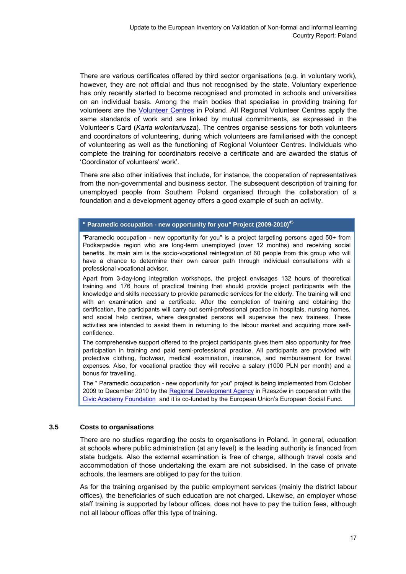There are various certificates offered by third sector organisations (e.g. in voluntary work), however, they are not official and thus not recognised by the state. Voluntary experience has only recently started to become recognised and promoted in schools and universities on an individual basis. Among the main bodies that specialise in providing training for volunteers are the Volunteer Centres in Poland. All Regional Volunteer Centres apply the same standards of work and are linked by mutual commitments, as expressed in the Volunteer's Card (*Karta wolontariusza*). The centres organise sessions for both volunteers and coordinators of volunteering, during which volunteers are familiarised with the concept of volunteering as well as the functioning of Regional Volunteer Centres. Individuals who complete the training for coordinators receive a certificate and are awarded the status of 'Coordinator of volunteers' work'.

There are also other initiatives that include, for instance, the cooperation of representatives from the non-governmental and business sector. The subsequent description of training for unemployed people from Southern Poland organised through the collaboration of a foundation and a development agency offers a good example of such an activity.

#### **" Paramedic occupation - new opportunity for you" Project (2009-2010)45**

"Paramedic occupation - new opportunity for you" is a project targeting persons aged 50+ from Podkarpackie region who are long-term unemployed (over 12 months) and receiving social benefits. Its main aim is the socio-vocational reintegration of 60 people from this group who will have a chance to determine their own career path through individual consultations with a professional vocational advisor.

Apart from 3-day-long integration workshops, the project envisages 132 hours of theoretical training and 176 hours of practical training that should provide project participants with the knowledge and skills necessary to provide paramedic services for the elderly. The training will end with an examination and a certificate. After the completion of training and obtaining the certification, the participants will carry out semi-professional practice in hospitals, nursing homes, and social help centres, where designated persons will supervise the new trainees. These activities are intended to assist them in returning to the labour market and acquiring more selfconfidence.

The comprehensive support offered to the project participants gives them also opportunity for free participation in training and paid semi-professional practice. All participants are provided with protective clothing, footwear, medical examination, insurance, and reimbursement for travel expenses. Also, for vocational practice they will receive a salary (1000 PLN per month) and a bonus for travelling.

The " Paramedic occupation - new opportunity for you" project is being implemented from October 2009 to December 2010 by the Regional Development Agency in Rzeszów in cooperation with the Civic Academy Foundation and it is co-funded by the European Union's European Social Fund.

#### **3.5 Costs to organisations**

There are no studies regarding the costs to organisations in Poland. In general, education at schools where public administration (at any level) is the leading authority is financed from state budgets. Also the external examination is free of charge, although travel costs and accommodation of those undertaking the exam are not subsidised. In the case of private schools, the learners are obliged to pay for the tuition.

As for the training organised by the public employment services (mainly the district labour offices), the beneficiaries of such education are not charged. Likewise, an employer whose staff training is supported by labour offices, does not have to pay the tuition fees, although not all labour offices offer this type of training.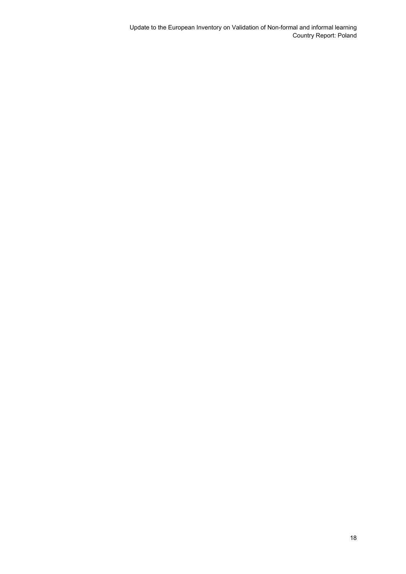Update to the European Inventory on Validation of Non-formal and informal learning Country Report: Poland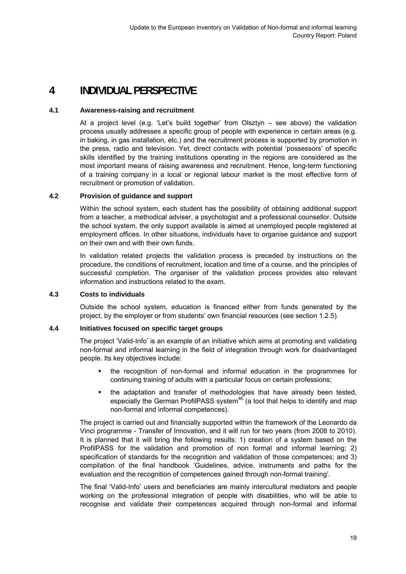## **4 INDIVIDUAL PERSPECTIVE**

### **4.1 Awareness-raising and recruitment**

At a project level (e.g. 'Let's build together' from Olsztyn – see above) the validation process usually addresses a specific group of people with experience in certain areas (e.g. in baking, in gas installation, etc.) and the recruitment process is supported by promotion in the press, radio and television. Yet, direct contacts with potential 'possessors' of specific skills identified by the training institutions operating in the regions are considered as the most important means of raising awareness and recruitment. Hence, long-term functioning of a training company in a local or regional labour market is the most effective form of recruitment or promotion of validation.

#### **4.2 Provision of guidance and support**

Within the school system, each student has the possibility of obtaining additional support from a teacher, a methodical adviser, a psychologist and a professional counsellor. Outside the school system, the only support available is aimed at unemployed people registered at employment offices. In other situations, individuals have to organise guidance and support on their own and with their own funds.

In validation related projects the validation process is preceded by instructions on the procedure, the conditions of recruitment, location and time of a course, and the principles of successful completion. The organiser of the validation process provides also relevant information and instructions related to the exam.

#### **4.3 Costs to individuals**

Outside the school system, education is financed either from funds generated by the project, by the employer or from students' own financial resources (see section 1.2.5).

#### **4.4 Initiatives focused on specific target groups**

The project 'Valid-Info' is an example of an initiative which aims at promoting and validating non-formal and informal learning in the field of integration through work for disadvantaged people. Its key objectives include:

- the recognition of non-formal and informal education in the programmes for continuing training of adults with a particular focus on certain professions;
- the adaptation and transfer of methodologies that have already been tested, especially the German ProfilPASS system<sup>46</sup> (a tool that helps to identify and map non-formal and informal competences).

The project is carried out and financially supported within the framework of the Leonardo da Vinci programme - Transfer of Innovation, and it will run for two years (from 2008 to 2010). It is planned that it will bring the following results: 1) creation of a system based on the ProfilPASS for the validation and promotion of non formal and informal learning; 2) specification of standards for the recognition and validation of those competences; and 3) compilation of the final handbook 'Guidelines, advice, instruments and paths for the evaluation and the recognition of competences gained through non-formal training'.

The final 'Valid-Info' users and beneficiaries are mainly intercultural mediators and people working on the professional integration of people with disabilities, who will be able to recognise and validate their competences acquired through non-formal and informal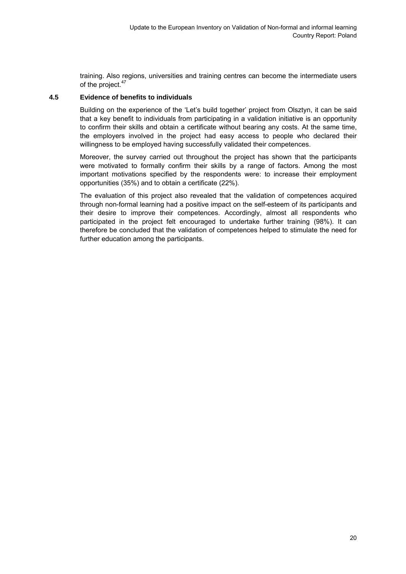training. Also regions, universities and training centres can become the intermediate users of the project.<sup>47</sup>

#### **4.5 Evidence of benefits to individuals**

Building on the experience of the 'Let's build together' project from Olsztyn, it can be said that a key benefit to individuals from participating in a validation initiative is an opportunity to confirm their skills and obtain a certificate without bearing any costs. At the same time, the employers involved in the project had easy access to people who declared their willingness to be employed having successfully validated their competences.

Moreover, the survey carried out throughout the project has shown that the participants were motivated to formally confirm their skills by a range of factors. Among the most important motivations specified by the respondents were: to increase their employment opportunities (35%) and to obtain a certificate (22%).

The evaluation of this project also revealed that the validation of competences acquired through non-formal learning had a positive impact on the self-esteem of its participants and their desire to improve their competences. Accordingly, almost all respondents who participated in the project felt encouraged to undertake further training (98%). It can therefore be concluded that the validation of competences helped to stimulate the need for further education among the participants.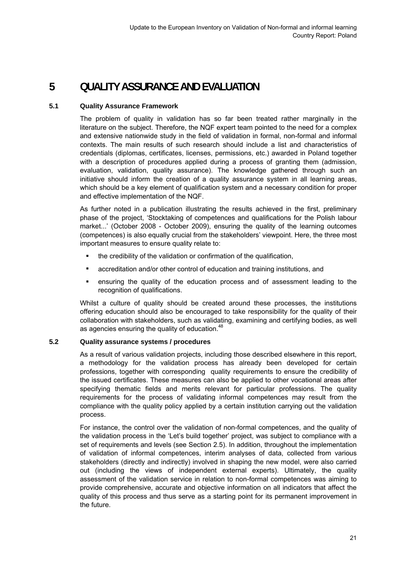## **5 QUALITY ASSURANCE AND EVALUATION**

### **5.1 Quality Assurance Framework**

The problem of quality in validation has so far been treated rather marginally in the literature on the subject. Therefore, the NQF expert team pointed to the need for a complex and extensive nationwide study in the field of validation in formal, non-formal and informal contexts. The main results of such research should include a list and characteristics of credentials (diplomas, certificates, licenses, permissions, etc.) awarded in Poland together with a description of procedures applied during a process of granting them (admission, evaluation, validation, quality assurance). The knowledge gathered through such an initiative should inform the creation of a quality assurance system in all learning areas, which should be a key element of qualification system and a necessary condition for proper and effective implementation of the NQF.

As further noted in a publication illustrating the results achieved in the first, preliminary phase of the project, 'Stocktaking of competences and qualifications for the Polish labour market...' (October 2008 - October 2009), ensuring the quality of the learning outcomes (competences) is also equally crucial from the stakeholders' viewpoint. Here, the three most important measures to ensure quality relate to:

- the credibility of the validation or confirmation of the qualification,
- accreditation and/or other control of education and training institutions, and
- ensuring the quality of the education process and of assessment leading to the recognition of qualifications.

Whilst a culture of quality should be created around these processes, the institutions offering education should also be encouraged to take responsibility for the quality of their collaboration with stakeholders, such as validating, examining and certifying bodies, as well as agencies ensuring the quality of education.<sup>48</sup>

#### **5.2 Quality assurance systems / procedures**

As a result of various validation projects, including those described elsewhere in this report, a methodology for the validation process has already been developed for certain professions, together with corresponding quality requirements to ensure the credibility of the issued certificates. These measures can also be applied to other vocational areas after specifying thematic fields and merits relevant for particular professions. The quality requirements for the process of validating informal competences may result from the compliance with the quality policy applied by a certain institution carrying out the validation process.

For instance, the control over the validation of non-formal competences, and the quality of the validation process in the 'Let's build together' project, was subject to compliance with a set of requirements and levels (see Section 2.5). In addition, throughout the implementation of validation of informal competences, interim analyses of data, collected from various stakeholders (directly and indirectly) involved in shaping the new model, were also carried out (including the views of independent external experts). Ultimately, the quality assessment of the validation service in relation to non-formal competences was aiming to provide comprehensive, accurate and objective information on all indicators that affect the quality of this process and thus serve as a starting point for its permanent improvement in the future.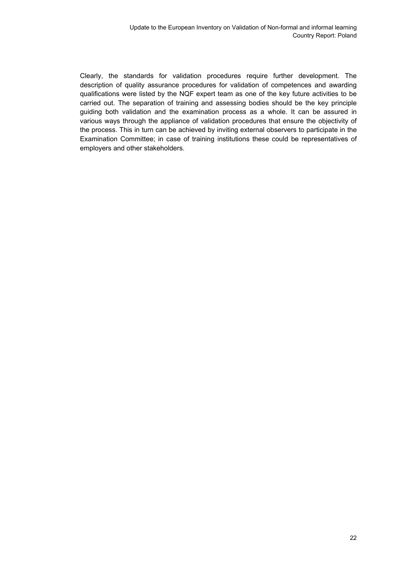Clearly, the standards for validation procedures require further development. The description of quality assurance procedures for validation of competences and awarding qualifications were listed by the NQF expert team as one of the key future activities to be carried out. The separation of training and assessing bodies should be the key principle guiding both validation and the examination process as a whole. It can be assured in various ways through the appliance of validation procedures that ensure the objectivity of the process. This in turn can be achieved by inviting external observers to participate in the Examination Committee; in case of training institutions these could be representatives of employers and other stakeholders.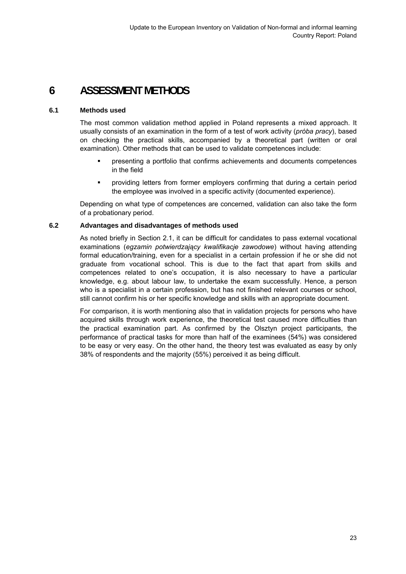# **6 ASSESSMENT METHODS**

### **6.1 Methods used**

The most common validation method applied in Poland represents a mixed approach. It usually consists of an examination in the form of a test of work activity (*próba pracy*), based on checking the practical skills, accompanied by a theoretical part (written or oral examination). Other methods that can be used to validate competences include:

- presenting a portfolio that confirms achievements and documents competences in the field
- **•** providing letters from former employers confirming that during a certain period the employee was involved in a specific activity (documented experience).

Depending on what type of competences are concerned, validation can also take the form of a probationary period.

#### **6.2 Advantages and disadvantages of methods used**

As noted briefly in Section 2.1, it can be difficult for candidates to pass external vocational examinations (*egzamin potwierdzający kwalifikacje zawodowe*) without having attending formal education/training, even for a specialist in a certain profession if he or she did not graduate from vocational school. This is due to the fact that apart from skills and competences related to one's occupation, it is also necessary to have a particular knowledge, e.g. about labour law, to undertake the exam successfully. Hence, a person who is a specialist in a certain profession, but has not finished relevant courses or school, still cannot confirm his or her specific knowledge and skills with an appropriate document.

For comparison, it is worth mentioning also that in validation projects for persons who have acquired skills through work experience, the theoretical test caused more difficulties than the practical examination part. As confirmed by the Olsztyn project participants, the performance of practical tasks for more than half of the examinees (54%) was considered to be easy or very easy. On the other hand, the theory test was evaluated as easy by only 38% of respondents and the majority (55%) perceived it as being difficult.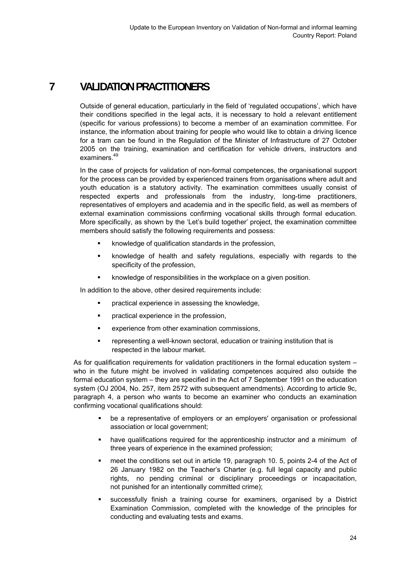# **7 VALIDATION PRACTITIONERS**

Outside of general education, particularly in the field of 'regulated occupations', which have their conditions specified in the legal acts, it is necessary to hold a relevant entitlement (specific for various professions) to become a member of an examination committee. For instance, the information about training for people who would like to obtain a driving licence for a tram can be found in the Regulation of the Minister of Infrastructure of 27 October 2005 on the training, examination and certification for vehicle drivers, instructors and examiners<sup>49</sup>

In the case of projects for validation of non-formal competences, the organisational support for the process can be provided by experienced trainers from organisations where adult and youth education is a statutory activity. The examination committees usually consist of respected experts and professionals from the industry, long-time practitioners, representatives of employers and academia and in the specific field, as well as members of external examination commissions confirming vocational skills through formal education. More specifically, as shown by the 'Let's build together' project, the examination committee members should satisfy the following requirements and possess:

- knowledge of qualification standards in the profession,
- knowledge of health and safety regulations, especially with regards to the specificity of the profession,
- knowledge of responsibilities in the workplace on a given position.

In addition to the above, other desired requirements include:

- **•** practical experience in assessing the knowledge,
- **•** practical experience in the profession,
- experience from other examination commissions,
- representing a well-known sectoral, education or training institution that is respected in the labour market.

As for qualification requirements for validation practitioners in the formal education system – who in the future might be involved in validating competences acquired also outside the formal education system – they are specified in the Act of 7 September 1991 on the education system (OJ 2004, No. 257, item 2572 with subsequent amendments). According to article 9c, paragraph 4, a person who wants to become an examiner who conducts an examination confirming vocational qualifications should:

- be a representative of employers or an employers' organisation or professional association or local government;
- have qualifications required for the apprenticeship instructor and a minimum of three years of experience in the examined profession;
- meet the conditions set out in article 19, paragraph 10. 5, points 2-4 of the Act of 26 January 1982 on the Teacher's Charter (e.g. full legal capacity and public rights, no pending criminal or disciplinary proceedings or incapacitation, not punished for an intentionally committed crime);
- successfully finish a training course for examiners, organised by a District Examination Commission, completed with the knowledge of the principles for conducting and evaluating tests and exams.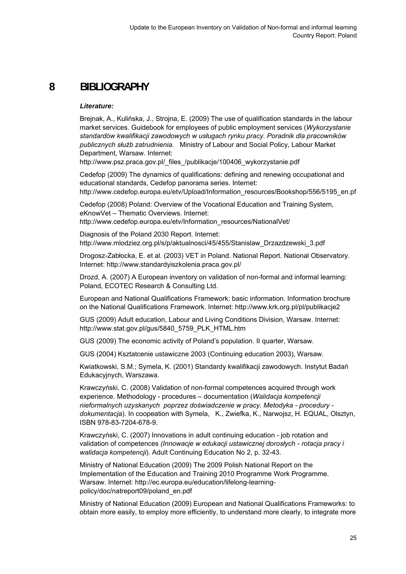### **8 BIBLIOGRAPHY**

### *Literature:*

Brejnak, A., Kulińska, J., Strojna, E. (2009) The use of qualification standards in the labour market services. Guidebook for employees of public employment services (*Wykorzystanie standardów kwalifikacji zawodowych w usługach rynku pracy. Poradnik dla pracowników publicznych służb zatrudnienia.* Ministry of Labour and Social Policy, Labour Market Department, Warsaw. Internet:

http://www.psz.praca.gov.pl/ files /publikacje/100406 wykorzystanie.pdf

Cedefop (2009) The dynamics of qualifications: defining and renewing occupational and educational standards, Cedefop panorama series. Internet: http://www.cedefop.europa.eu/etv/Upload/Information\_resources/Bookshop/556/5195\_en.pf

Cedefop (2008) Poland: Overview of the Vocational Education and Training System, eKnowVet – Thematic Overviews. Internet: http://www.cedefop.europa.eu/etv/Information\_resources/NationalVet/

Diagnosis of the Poland 2030 Report. Internet: http://www.mlodziez.org.pl/s/p/aktualnosci/45/455/Stanislaw\_Drzazdzewski\_3.pdf

Drogosz-Zabłocka, E. et al. (2003) VET in Poland. National Report. National Observatory. Internet: http://www.standardyiszkolenia.praca.gov.pl/

Drozd, A. (2007) A European inventory on validation of non-formal and informal learning: Poland, ECOTEC Research & Consulting Ltd.

European and National Qualifications Framework: basic information. Information brochure on the National Qualifications Framework. Internet: http://www.krk.org.pl/pl/publikacje2

GUS (2009) Adult education, Labour and Living Conditions Division, Warsaw. Internet: http://www.stat.gov.pl/gus/5840\_5759\_PLK\_HTML.htm

GUS (2009) The economic activity of Poland's population. II quarter, Warsaw.

GUS (2004) Ksztatcenie ustawiczne 2003 (Continuing education 2003), Warsaw.

Kwiatkowski, S.M.; Symela, K. (2001) Standardy kwalifikacji zawodowych. Instytut Badań Edukacyjnych, Warszawa.

Krawczyński, C. (2008) Validation of non-formal competences acquired through work experience. Methodology - procedures – documentation (*Walidacja kompetencji nieformalnych uzyskanych poprzez doświadczenie w pracy. Metodyka - procedury dokumentacja*). In coopeation with Symela, K., Zwiefka, K., Narwojsz, H. EQUAL, Olsztyn, ISBN 978-83-7204-678-9.

Krawczyński, C. (2007) Innovations in adult continuing education - job rotation and validation of competences *(Innowacje w edukacji ustawicznej dorosłych - rotacja pracy i walidacja kompetencji*). Adult Continuing Education No 2, p. 32-43.

Ministry of National Education (2009) The 2009 Polish National Report on the Implementation of the Education and Training 2010 Programme Work Programme. Warsaw. Internet: http://ec.europa.eu/education/lifelong-learningpolicy/doc/natreport09/poland\_en.pdf

Ministry of National Education (2009) European and National Qualifications Frameworks: to obtain more easily, to employ more efficiently, to understand more clearly, to integrate more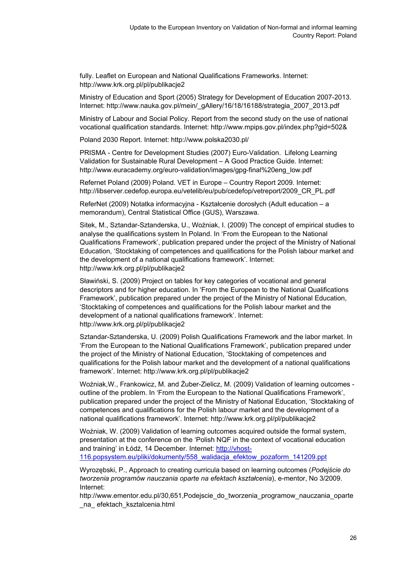fully. Leaflet on European and National Qualifications Frameworks. Internet: http://www.krk.org.pl/pl/publikacje2

Ministry of Education and Sport (2005) Strategy for Development of Education 2007-2013. Internet: http://www.nauka.gov.pl/mein/\_gAllery/16/18/16188/strategia\_2007\_2013.pdf

Ministry of Labour and Social Policy. Report from the second study on the use of national vocational qualification standards. Internet: http://www.mpips.gov.pl/index.php?gid=502&

Poland 2030 Report. Internet: http://www.polska2030.pl/

PRISMA - Centre for Development Studies (2007) Euro-Validation. Lifelong Learning Validation for Sustainable Rural Development – A Good Practice Guide. Internet: http://www.euracademy.org/euro-validation/images/gpg-final%20eng\_low.pdf

Refernet Poland (2009) Poland. VET in Europe – Country Report 2009. Internet: http://libserver.cedefop.europa.eu/vetelib/eu/pub/cedefop/vetreport/2009\_CR\_PL.pdf

ReferNet (2009) Notatka informacyjna - Kształcenie dorosłych (Adult education – a memorandum), Central Statistical Office (GUS), Warszawa.

Sitek, M., Sztandar-Sztanderska, U., Woźniak, I. (2009) The concept of empirical studies to analyse the qualifications system In Poland. In 'From the European to the National Qualifications Framework', publication prepared under the project of the Ministry of National Education, 'Stocktaking of competences and qualifications for the Polish labour market and the development of a national qualifications framework'. Internet: http://www.krk.org.pl/pl/publikacje2

Sławiński, S. (2009) Project on tables for key categories of vocational and general descriptors and for higher education. In 'From the European to the National Qualifications Framework', publication prepared under the project of the Ministry of National Education, 'Stocktaking of competences and qualifications for the Polish labour market and the development of a national qualifications framework'. Internet: http://www.krk.org.pl/pl/publikacje2

Sztandar-Sztanderska, U. (2009) Polish Qualifications Framework and the labor market. In 'From the European to the National Qualifications Framework', publication prepared under the project of the Ministry of National Education, 'Stocktaking of competences and qualifications for the Polish labour market and the development of a national qualifications framework'. Internet: http://www.krk.org.pl/pl/publikacje2

Woźniak,W., Frankowicz, M. and Żuber-Zielicz, M. (2009) Validation of learning outcomes outline of the problem. In 'From the European to the National Qualifications Framework', publication prepared under the project of the Ministry of National Education, 'Stocktaking of competences and qualifications for the Polish labour market and the development of a national qualifications framework'. Internet: http://www.krk.org.pl/pl/publikacje2

Woźniak, W. (2009) Validation of learning outcomes acquired outside the formal system, presentation at the conference on the 'Polish NQF in the context of vocational education and training' in Łódź, 14 December. Internet: http://vhost-

116.popsystem.eu/pliki/dokumenty/558\_walidacja\_efektow\_pozaform\_141209.ppt

Wyrozębski, P., Approach to creating curricula based on learning outcomes (*Podejście do tworzenia programów nauczania oparte na efektach kształcenia*), e-mentor, No 3/2009. Internet:

http://www.ementor.edu.pl/30,651,Podejscie\_do\_tworzenia\_programow\_nauczania\_oparte \_na\_ efektach\_ksztalcenia.html